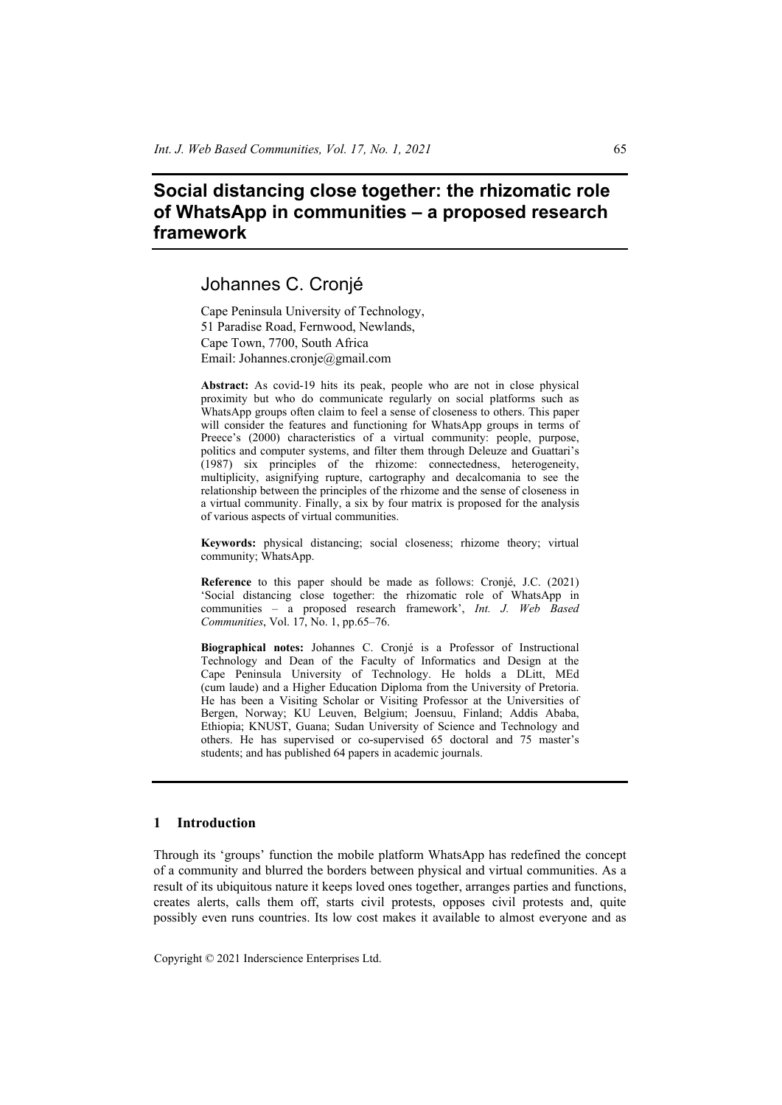# **Social distancing close together: the rhizomatic role of WhatsApp in communities – a proposed research framework**

# Johannes C. Cronjé

Cape Peninsula University of Technology, 51 Paradise Road, Fernwood, Newlands, Cape Town, 7700, South Africa Email: Johannes.cronje@gmail.com

**Abstract:** As covid-19 hits its peak, people who are not in close physical proximity but who do communicate regularly on social platforms such as WhatsApp groups often claim to feel a sense of closeness to others. This paper will consider the features and functioning for WhatsApp groups in terms of Preece's (2000) characteristics of a virtual community: people, purpose, politics and computer systems, and filter them through Deleuze and Guattari's (1987) six principles of the rhizome: connectedness, heterogeneity, multiplicity, asignifying rupture, cartography and decalcomania to see the relationship between the principles of the rhizome and the sense of closeness in a virtual community. Finally, a six by four matrix is proposed for the analysis of various aspects of virtual communities.

**Keywords:** physical distancing; social closeness; rhizome theory; virtual community; WhatsApp.

**Reference** to this paper should be made as follows: Cronjé, J.C. (2021) 'Social distancing close together: the rhizomatic role of WhatsApp in communities – a proposed research framework', *Int. J. Web Based Communities*, Vol. 17, No. 1, pp.65–76.

**Biographical notes:** Johannes C. Cronjé is a Professor of Instructional Technology and Dean of the Faculty of Informatics and Design at the Cape Peninsula University of Technology. He holds a DLitt, MEd (cum laude) and a Higher Education Diploma from the University of Pretoria. He has been a Visiting Scholar or Visiting Professor at the Universities of Bergen, Norway; KU Leuven, Belgium; Joensuu, Finland; Addis Ababa, Ethiopia; KNUST, Guana; Sudan University of Science and Technology and others. He has supervised or co-supervised 65 doctoral and 75 master's students; and has published 64 papers in academic journals.

### **1 Introduction**

Through its 'groups' function the mobile platform WhatsApp has redefined the concept of a community and blurred the borders between physical and virtual communities. As a result of its ubiquitous nature it keeps loved ones together, arranges parties and functions, creates alerts, calls them off, starts civil protests, opposes civil protests and, quite possibly even runs countries. Its low cost makes it available to almost everyone and as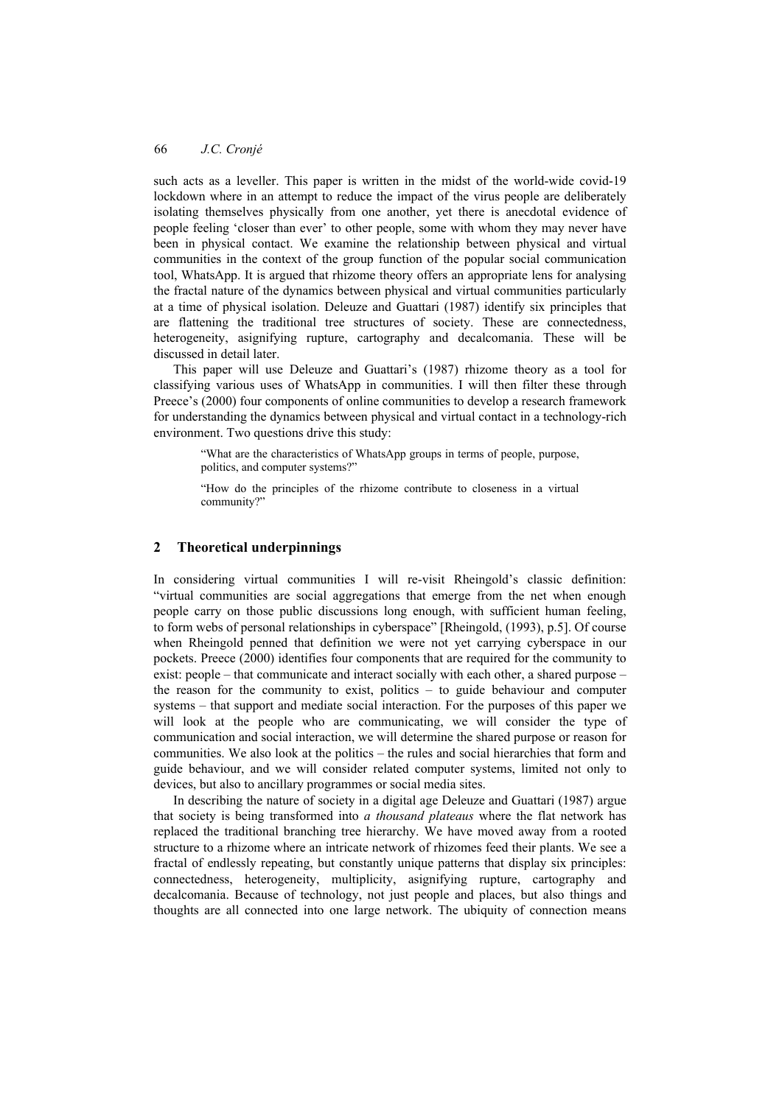such acts as a leveller. This paper is written in the midst of the world-wide covid-19 lockdown where in an attempt to reduce the impact of the virus people are deliberately isolating themselves physically from one another, yet there is anecdotal evidence of people feeling 'closer than ever' to other people, some with whom they may never have been in physical contact. We examine the relationship between physical and virtual communities in the context of the group function of the popular social communication tool, WhatsApp. It is argued that rhizome theory offers an appropriate lens for analysing the fractal nature of the dynamics between physical and virtual communities particularly at a time of physical isolation. Deleuze and Guattari (1987) identify six principles that are flattening the traditional tree structures of society. These are connectedness, heterogeneity, asignifying rupture, cartography and decalcomania. These will be discussed in detail later.

This paper will use Deleuze and Guattari's (1987) rhizome theory as a tool for classifying various uses of WhatsApp in communities. I will then filter these through Preece's (2000) four components of online communities to develop a research framework for understanding the dynamics between physical and virtual contact in a technology-rich environment. Two questions drive this study:

"What are the characteristics of WhatsApp groups in terms of people, purpose, politics, and computer systems?"

"How do the principles of the rhizome contribute to closeness in a virtual community?"

#### **2 Theoretical underpinnings**

In considering virtual communities I will re-visit Rheingold's classic definition: "virtual communities are social aggregations that emerge from the net when enough people carry on those public discussions long enough, with sufficient human feeling, to form webs of personal relationships in cyberspace" [Rheingold, (1993), p.5]. Of course when Rheingold penned that definition we were not yet carrying cyberspace in our pockets. Preece (2000) identifies four components that are required for the community to exist: people – that communicate and interact socially with each other, a shared purpose – the reason for the community to exist, politics – to guide behaviour and computer systems – that support and mediate social interaction. For the purposes of this paper we will look at the people who are communicating, we will consider the type of communication and social interaction, we will determine the shared purpose or reason for communities. We also look at the politics – the rules and social hierarchies that form and guide behaviour, and we will consider related computer systems, limited not only to devices, but also to ancillary programmes or social media sites.

In describing the nature of society in a digital age Deleuze and Guattari (1987) argue that society is being transformed into *a thousand plateaus* where the flat network has replaced the traditional branching tree hierarchy. We have moved away from a rooted structure to a rhizome where an intricate network of rhizomes feed their plants. We see a fractal of endlessly repeating, but constantly unique patterns that display six principles: connectedness, heterogeneity, multiplicity, asignifying rupture, cartography and decalcomania. Because of technology, not just people and places, but also things and thoughts are all connected into one large network. The ubiquity of connection means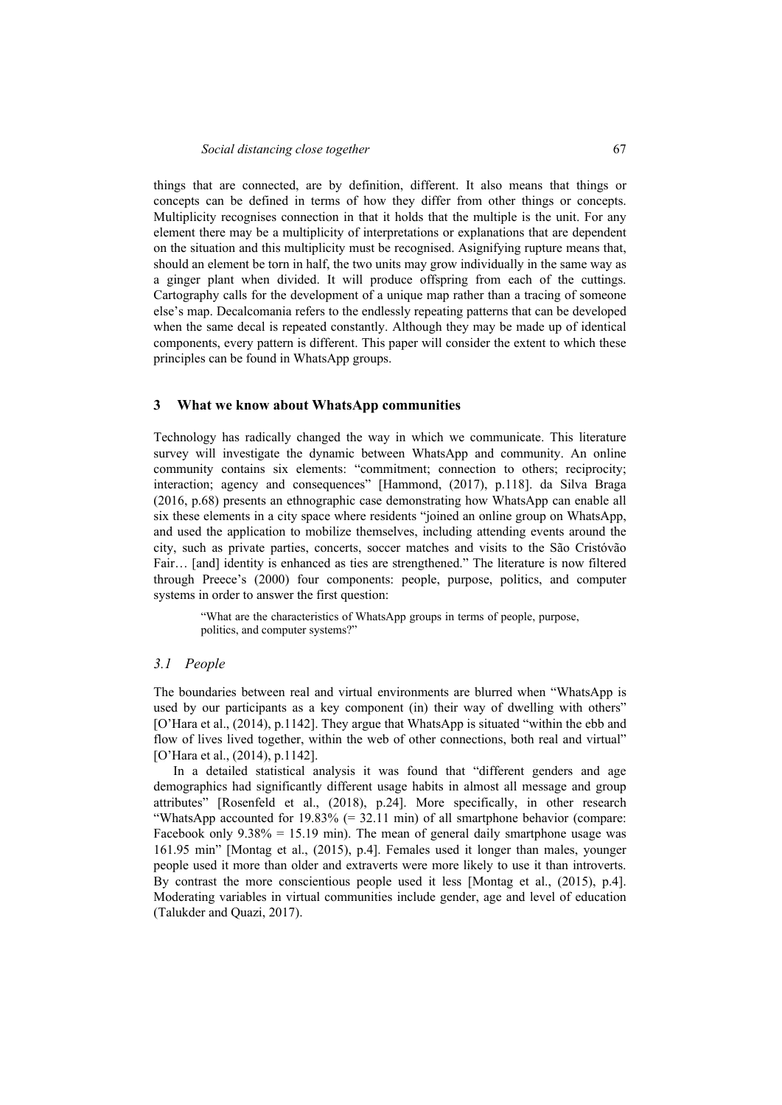things that are connected, are by definition, different. It also means that things or concepts can be defined in terms of how they differ from other things or concepts. Multiplicity recognises connection in that it holds that the multiple is the unit. For any element there may be a multiplicity of interpretations or explanations that are dependent on the situation and this multiplicity must be recognised. Asignifying rupture means that, should an element be torn in half, the two units may grow individually in the same way as a ginger plant when divided. It will produce offspring from each of the cuttings. Cartography calls for the development of a unique map rather than a tracing of someone else's map. Decalcomania refers to the endlessly repeating patterns that can be developed when the same decal is repeated constantly. Although they may be made up of identical components, every pattern is different. This paper will consider the extent to which these principles can be found in WhatsApp groups.

#### **3 What we know about WhatsApp communities**

Technology has radically changed the way in which we communicate. This literature survey will investigate the dynamic between WhatsApp and community. An online community contains six elements: "commitment; connection to others; reciprocity; interaction; agency and consequences" [Hammond, (2017), p.118]. da Silva Braga (2016, p.68) presents an ethnographic case demonstrating how WhatsApp can enable all six these elements in a city space where residents "joined an online group on WhatsApp, and used the application to mobilize themselves, including attending events around the city, such as private parties, concerts, soccer matches and visits to the São Cristóvão Fair… [and] identity is enhanced as ties are strengthened." The literature is now filtered through Preece's (2000) four components: people, purpose, politics, and computer systems in order to answer the first question:

"What are the characteristics of WhatsApp groups in terms of people, purpose, politics, and computer systems?"

#### *3.1 People*

The boundaries between real and virtual environments are blurred when "WhatsApp is used by our participants as a key component (in) their way of dwelling with others" [O'Hara et al., (2014), p.1142]. They argue that WhatsApp is situated "within the ebb and flow of lives lived together, within the web of other connections, both real and virtual" [O'Hara et al., (2014), p.1142].

In a detailed statistical analysis it was found that "different genders and age demographics had significantly different usage habits in almost all message and group attributes" [Rosenfeld et al., (2018), p.24]. More specifically, in other research "WhatsApp accounted for 19.83% (= 32.11 min) of all smartphone behavior (compare: Facebook only  $9.38\% = 15.19$  min). The mean of general daily smartphone usage was 161.95 min" [Montag et al., (2015), p.4]. Females used it longer than males, younger people used it more than older and extraverts were more likely to use it than introverts. By contrast the more conscientious people used it less [Montag et al., (2015), p.4]. Moderating variables in virtual communities include gender, age and level of education (Talukder and Quazi, 2017).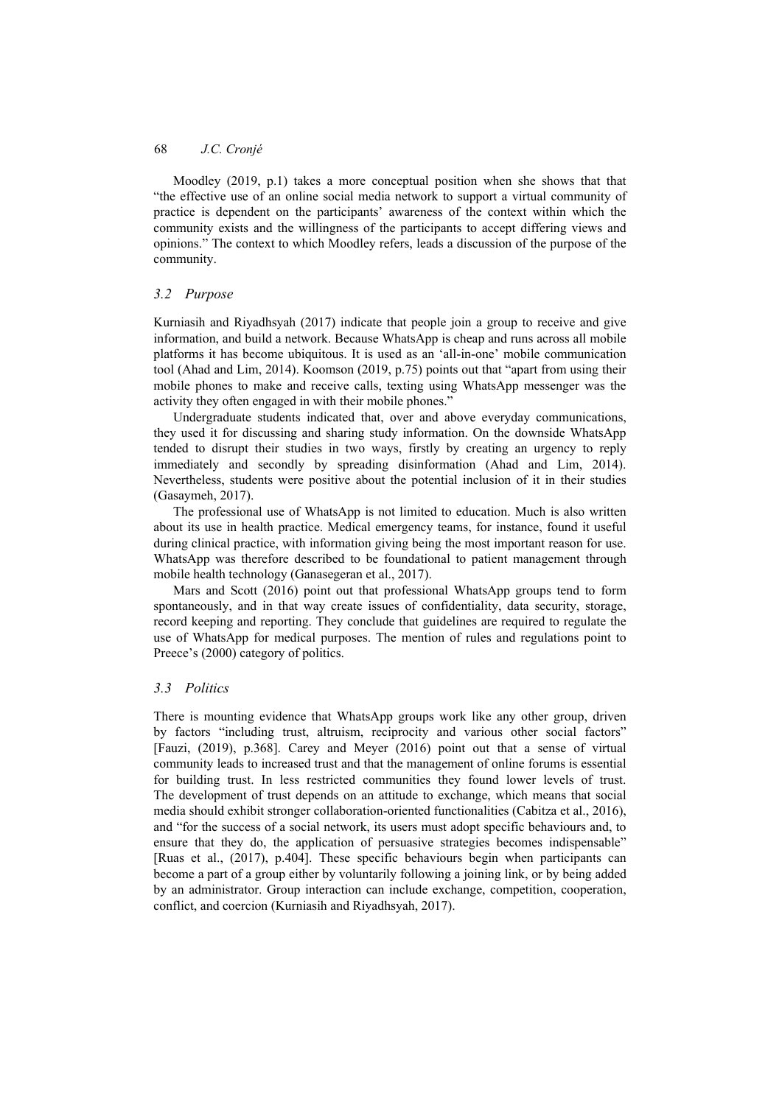Moodley (2019, p.1) takes a more conceptual position when she shows that that "the effective use of an online social media network to support a virtual community of practice is dependent on the participants' awareness of the context within which the community exists and the willingness of the participants to accept differing views and opinions." The context to which Moodley refers, leads a discussion of the purpose of the community.

## *3.2 Purpose*

Kurniasih and Riyadhsyah (2017) indicate that people join a group to receive and give information, and build a network. Because WhatsApp is cheap and runs across all mobile platforms it has become ubiquitous. It is used as an 'all-in-one' mobile communication tool (Ahad and Lim, 2014). Koomson (2019, p.75) points out that "apart from using their mobile phones to make and receive calls, texting using WhatsApp messenger was the activity they often engaged in with their mobile phones."

Undergraduate students indicated that, over and above everyday communications, they used it for discussing and sharing study information. On the downside WhatsApp tended to disrupt their studies in two ways, firstly by creating an urgency to reply immediately and secondly by spreading disinformation (Ahad and Lim, 2014). Nevertheless, students were positive about the potential inclusion of it in their studies (Gasaymeh, 2017).

The professional use of WhatsApp is not limited to education. Much is also written about its use in health practice. Medical emergency teams, for instance, found it useful during clinical practice, with information giving being the most important reason for use. WhatsApp was therefore described to be foundational to patient management through mobile health technology (Ganasegeran et al., 2017).

Mars and Scott (2016) point out that professional WhatsApp groups tend to form spontaneously, and in that way create issues of confidentiality, data security, storage, record keeping and reporting. They conclude that guidelines are required to regulate the use of WhatsApp for medical purposes. The mention of rules and regulations point to Preece's (2000) category of politics.

### *3.3 Politics*

There is mounting evidence that WhatsApp groups work like any other group, driven by factors "including trust, altruism, reciprocity and various other social factors" [Fauzi, (2019), p.368]. Carey and Meyer (2016) point out that a sense of virtual community leads to increased trust and that the management of online forums is essential for building trust. In less restricted communities they found lower levels of trust. The development of trust depends on an attitude to exchange, which means that social media should exhibit stronger collaboration-oriented functionalities (Cabitza et al., 2016), and "for the success of a social network, its users must adopt specific behaviours and, to ensure that they do, the application of persuasive strategies becomes indispensable" [Ruas et al., (2017), p.404]. These specific behaviours begin when participants can become a part of a group either by voluntarily following a joining link, or by being added by an administrator. Group interaction can include exchange, competition, cooperation, conflict, and coercion (Kurniasih and Riyadhsyah, 2017).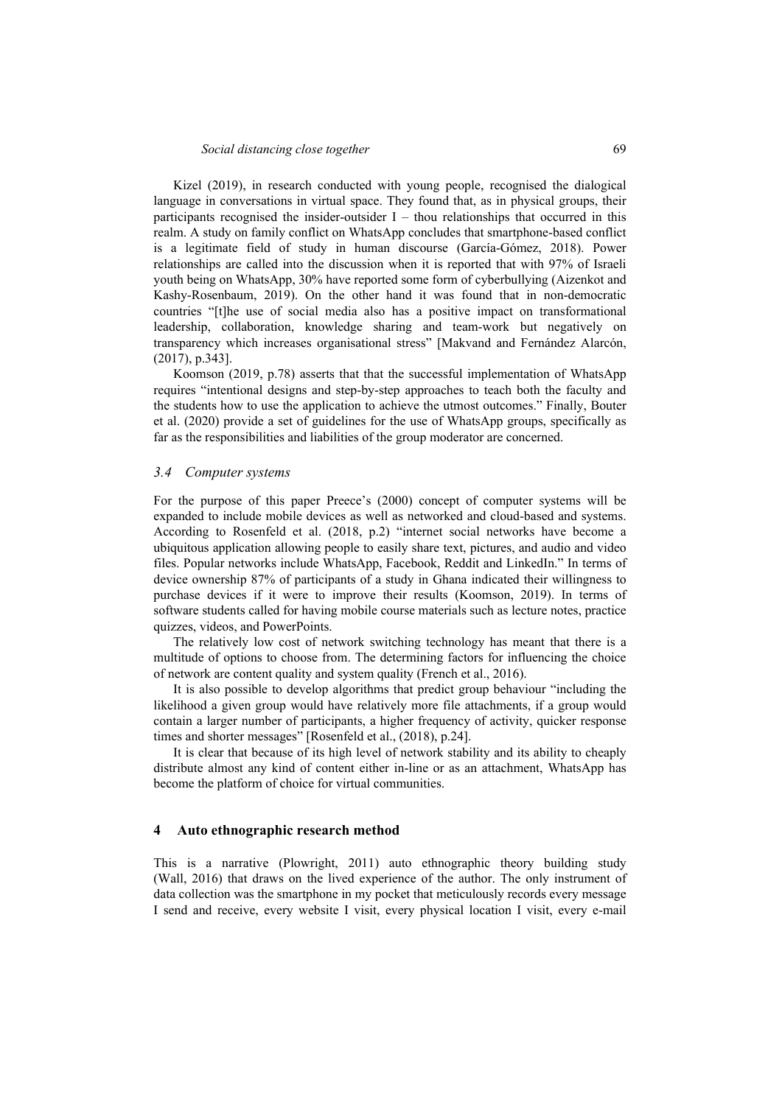Kizel (2019), in research conducted with young people, recognised the dialogical language in conversations in virtual space. They found that, as in physical groups, their participants recognised the insider-outsider  $I$  – thou relationships that occurred in this realm. A study on family conflict on WhatsApp concludes that smartphone-based conflict is a legitimate field of study in human discourse (García-Gómez, 2018). Power relationships are called into the discussion when it is reported that with 97% of Israeli youth being on WhatsApp, 30% have reported some form of cyberbullying (Aizenkot and Kashy-Rosenbaum, 2019). On the other hand it was found that in non-democratic countries "[t]he use of social media also has a positive impact on transformational leadership, collaboration, knowledge sharing and team-work but negatively on transparency which increases organisational stress" [Makvand and Fernández Alarcón, (2017), p.343].

Koomson (2019, p.78) asserts that that the successful implementation of WhatsApp requires "intentional designs and step-by-step approaches to teach both the faculty and the students how to use the application to achieve the utmost outcomes." Finally, Bouter et al. (2020) provide a set of guidelines for the use of WhatsApp groups, specifically as far as the responsibilities and liabilities of the group moderator are concerned.

#### *3.4 Computer systems*

For the purpose of this paper Preece's (2000) concept of computer systems will be expanded to include mobile devices as well as networked and cloud-based and systems. According to Rosenfeld et al. (2018, p.2) "internet social networks have become a ubiquitous application allowing people to easily share text, pictures, and audio and video files. Popular networks include WhatsApp, Facebook, Reddit and LinkedIn." In terms of device ownership 87% of participants of a study in Ghana indicated their willingness to purchase devices if it were to improve their results (Koomson, 2019). In terms of software students called for having mobile course materials such as lecture notes, practice quizzes, videos, and PowerPoints.

The relatively low cost of network switching technology has meant that there is a multitude of options to choose from. The determining factors for influencing the choice of network are content quality and system quality (French et al., 2016).

It is also possible to develop algorithms that predict group behaviour "including the likelihood a given group would have relatively more file attachments, if a group would contain a larger number of participants, a higher frequency of activity, quicker response times and shorter messages" [Rosenfeld et al., (2018), p.24].

It is clear that because of its high level of network stability and its ability to cheaply distribute almost any kind of content either in-line or as an attachment, WhatsApp has become the platform of choice for virtual communities.

#### **4 Auto ethnographic research method**

This is a narrative (Plowright, 2011) auto ethnographic theory building study (Wall, 2016) that draws on the lived experience of the author. The only instrument of data collection was the smartphone in my pocket that meticulously records every message I send and receive, every website I visit, every physical location I visit, every e-mail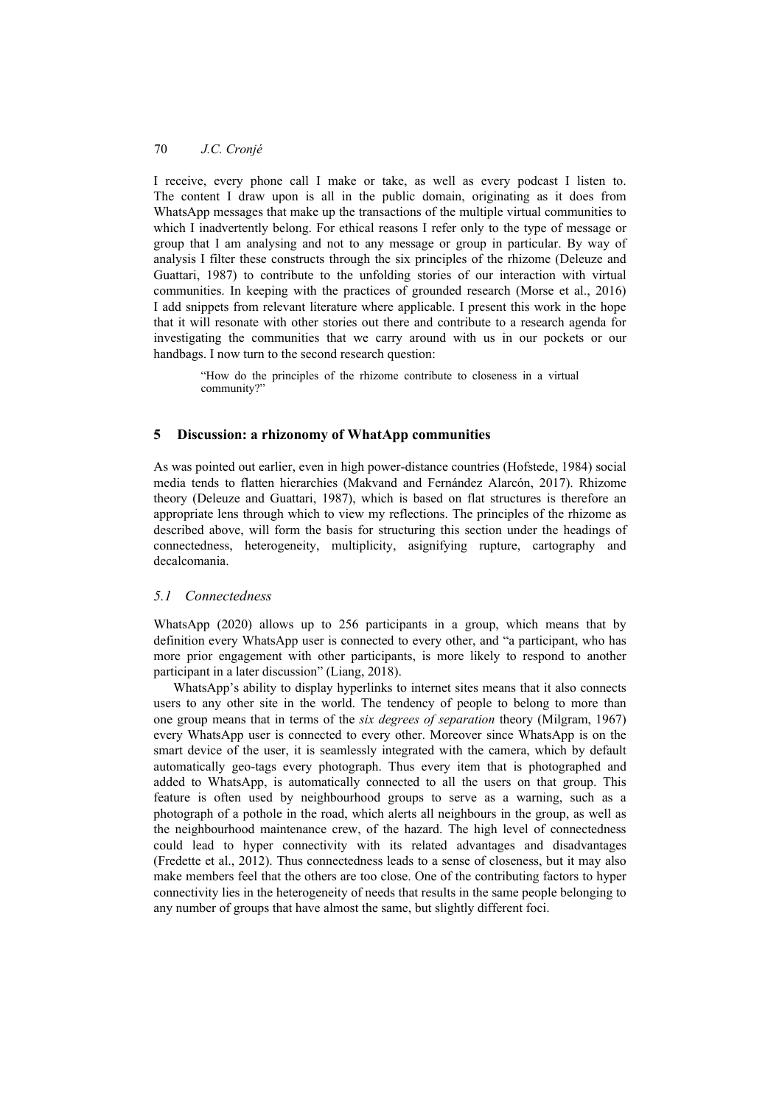I receive, every phone call I make or take, as well as every podcast I listen to. The content I draw upon is all in the public domain, originating as it does from WhatsApp messages that make up the transactions of the multiple virtual communities to which I inadvertently belong. For ethical reasons I refer only to the type of message or group that I am analysing and not to any message or group in particular. By way of analysis I filter these constructs through the six principles of the rhizome (Deleuze and Guattari, 1987) to contribute to the unfolding stories of our interaction with virtual communities. In keeping with the practices of grounded research (Morse et al., 2016) I add snippets from relevant literature where applicable. I present this work in the hope that it will resonate with other stories out there and contribute to a research agenda for investigating the communities that we carry around with us in our pockets or our handbags. I now turn to the second research question:

> "How do the principles of the rhizome contribute to closeness in a virtual community?"

### **5 Discussion: a rhizonomy of WhatApp communities**

As was pointed out earlier, even in high power-distance countries (Hofstede, 1984) social media tends to flatten hierarchies (Makvand and Fernández Alarcón, 2017). Rhizome theory (Deleuze and Guattari, 1987), which is based on flat structures is therefore an appropriate lens through which to view my reflections. The principles of the rhizome as described above, will form the basis for structuring this section under the headings of connectedness, heterogeneity, multiplicity, asignifying rupture, cartography and decalcomania.

### *5.1 Connectedness*

WhatsApp (2020) allows up to 256 participants in a group, which means that by definition every WhatsApp user is connected to every other, and "a participant, who has more prior engagement with other participants, is more likely to respond to another participant in a later discussion" (Liang, 2018).

WhatsApp's ability to display hyperlinks to internet sites means that it also connects users to any other site in the world. The tendency of people to belong to more than one group means that in terms of the *six degrees of separation* theory (Milgram, 1967) every WhatsApp user is connected to every other. Moreover since WhatsApp is on the smart device of the user, it is seamlessly integrated with the camera, which by default automatically geo-tags every photograph. Thus every item that is photographed and added to WhatsApp, is automatically connected to all the users on that group. This feature is often used by neighbourhood groups to serve as a warning, such as a photograph of a pothole in the road, which alerts all neighbours in the group, as well as the neighbourhood maintenance crew, of the hazard. The high level of connectedness could lead to hyper connectivity with its related advantages and disadvantages (Fredette et al., 2012). Thus connectedness leads to a sense of closeness, but it may also make members feel that the others are too close. One of the contributing factors to hyper connectivity lies in the heterogeneity of needs that results in the same people belonging to any number of groups that have almost the same, but slightly different foci.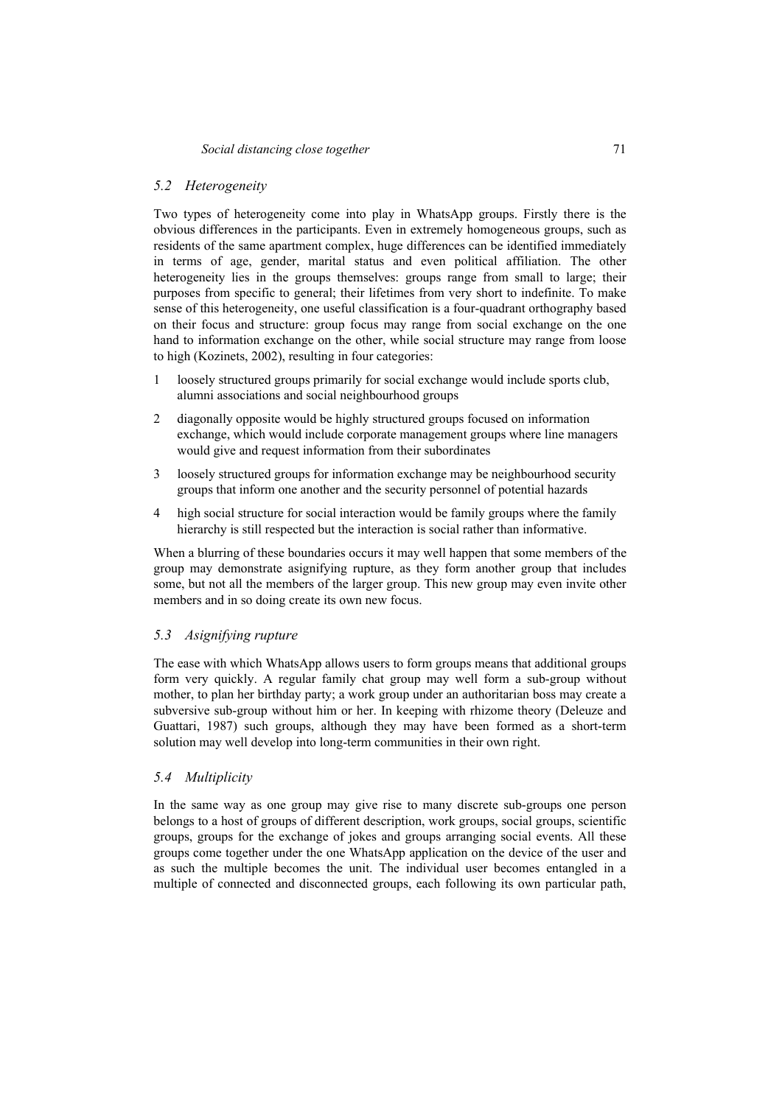#### *5.2 Heterogeneity*

Two types of heterogeneity come into play in WhatsApp groups. Firstly there is the obvious differences in the participants. Even in extremely homogeneous groups, such as residents of the same apartment complex, huge differences can be identified immediately in terms of age, gender, marital status and even political affiliation. The other heterogeneity lies in the groups themselves: groups range from small to large; their purposes from specific to general; their lifetimes from very short to indefinite. To make sense of this heterogeneity, one useful classification is a four-quadrant orthography based on their focus and structure: group focus may range from social exchange on the one hand to information exchange on the other, while social structure may range from loose to high (Kozinets, 2002), resulting in four categories:

- 1 loosely structured groups primarily for social exchange would include sports club, alumni associations and social neighbourhood groups
- 2 diagonally opposite would be highly structured groups focused on information exchange, which would include corporate management groups where line managers would give and request information from their subordinates
- 3 loosely structured groups for information exchange may be neighbourhood security groups that inform one another and the security personnel of potential hazards
- 4 high social structure for social interaction would be family groups where the family hierarchy is still respected but the interaction is social rather than informative.

When a blurring of these boundaries occurs it may well happen that some members of the group may demonstrate asignifying rupture, as they form another group that includes some, but not all the members of the larger group. This new group may even invite other members and in so doing create its own new focus.

### *5.3 Asignifying rupture*

The ease with which WhatsApp allows users to form groups means that additional groups form very quickly. A regular family chat group may well form a sub-group without mother, to plan her birthday party; a work group under an authoritarian boss may create a subversive sub-group without him or her. In keeping with rhizome theory (Deleuze and Guattari, 1987) such groups, although they may have been formed as a short-term solution may well develop into long-term communities in their own right.

#### *5.4 Multiplicity*

In the same way as one group may give rise to many discrete sub-groups one person belongs to a host of groups of different description, work groups, social groups, scientific groups, groups for the exchange of jokes and groups arranging social events. All these groups come together under the one WhatsApp application on the device of the user and as such the multiple becomes the unit. The individual user becomes entangled in a multiple of connected and disconnected groups, each following its own particular path,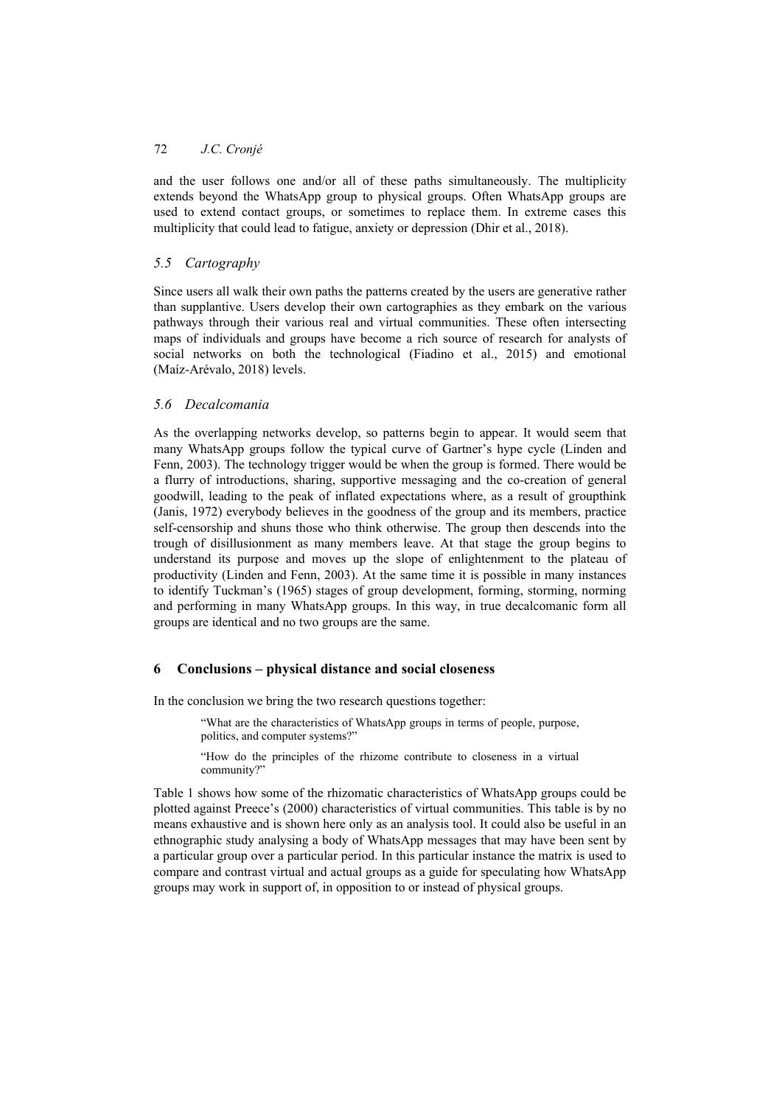and the user follows one and/or all of these paths simultaneously. The multiplicity extends beyond the WhatsApp group to physical groups. Often WhatsApp groups are used to extend contact groups, or sometimes to replace them. In extreme cases this multiplicity that could lead to fatigue, anxiety or depression (Dhir et al., 2018).

# *5.5 Cartography*

Since users all walk their own paths the patterns created by the users are generative rather than supplantive. Users develop their own cartographies as they embark on the various pathways through their various real and virtual communities. These often intersecting maps of individuals and groups have become a rich source of research for analysts of social networks on both the technological (Fiadino et al., 2015) and emotional (Maíz-Arévalo, 2018) levels.

## *5.6 Decalcomania*

As the overlapping networks develop, so patterns begin to appear. It would seem that many WhatsApp groups follow the typical curve of Gartner's hype cycle (Linden and Fenn, 2003). The technology trigger would be when the group is formed. There would be a flurry of introductions, sharing, supportive messaging and the co-creation of general goodwill, leading to the peak of inflated expectations where, as a result of groupthink (Janis, 1972) everybody believes in the goodness of the group and its members, practice self-censorship and shuns those who think otherwise. The group then descends into the trough of disillusionment as many members leave. At that stage the group begins to understand its purpose and moves up the slope of enlightenment to the plateau of productivity (Linden and Fenn, 2003). At the same time it is possible in many instances to identify Tuckman's (1965) stages of group development, forming, storming, norming and performing in many WhatsApp groups. In this way, in true decalcomanic form all groups are identical and no two groups are the same.

### **6 Conclusions – physical distance and social closeness**

In the conclusion we bring the two research questions together:

"What are the characteristics of WhatsApp groups in terms of people, purpose, politics, and computer systems?"

"How do the principles of the rhizome contribute to closeness in a virtual community?"

Table 1 shows how some of the rhizomatic characteristics of WhatsApp groups could be plotted against Preece's (2000) characteristics of virtual communities. This table is by no means exhaustive and is shown here only as an analysis tool. It could also be useful in an ethnographic study analysing a body of WhatsApp messages that may have been sent by a particular group over a particular period. In this particular instance the matrix is used to compare and contrast virtual and actual groups as a guide for speculating how WhatsApp groups may work in support of, in opposition to or instead of physical groups.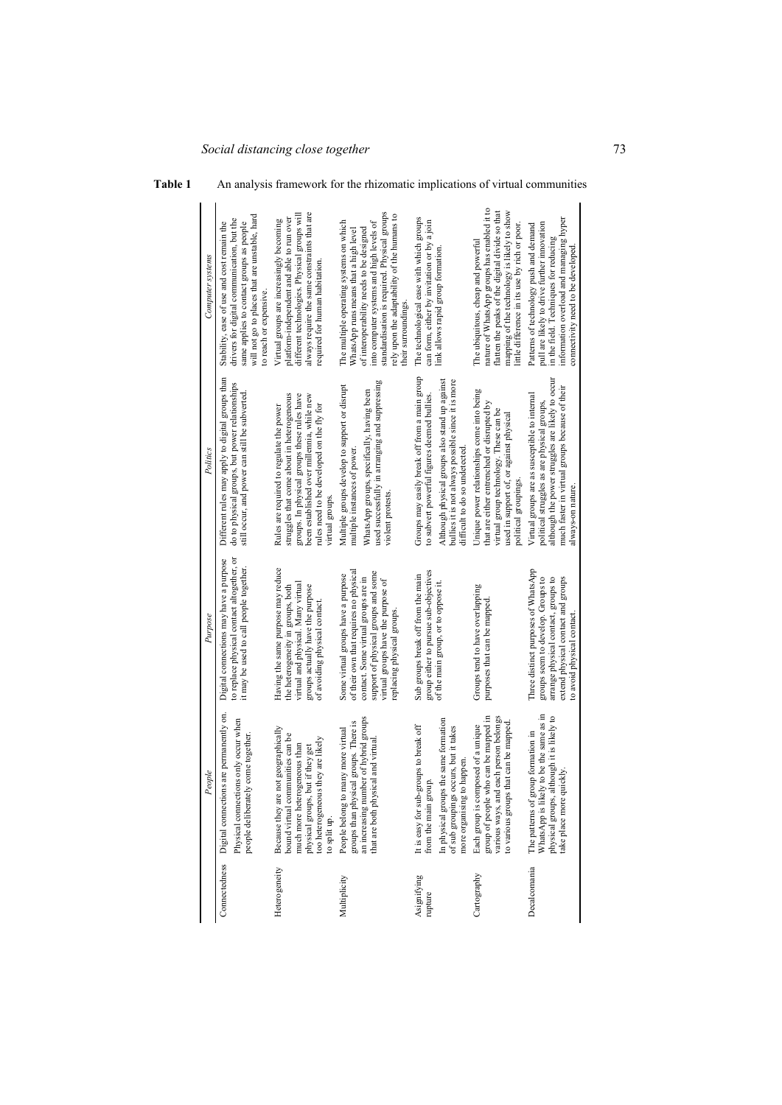| Computer systems | will not go to places that are unstable, hard<br>drivers for digital communication, but the<br>Stability, ease of use and cost remain the<br>same applies to contact groups as people<br>to reach or expensive | always require the same constraints that are<br>different technologies. Physical groups will<br>platform-independent and able to run over<br>Virtual groups are increasingly becoming<br>required for human habitation                             | standardisation is required. Physical groups<br>rely upon the adaptability of the humans to<br>The multiple operating systems on which<br>into computer systems and high levels of<br>of interoperability needs to be designed<br>WhatsApp runs means that a high level<br>their surroundings | The technological ease with which groups<br>can form, either by invitation or by a join<br>link allows rapid group formation                                                                                                          | nature of WhatsApp groups has enabled it to<br>flatten the peaks of the digital divide so that<br>mapping of the technology is likely to show<br>little difference in its use by rich or poor.<br>The ubiquitous, cheap and powerful | information overload and managing hyper<br>pull are likely to drive further innovation<br>Patterns of technology push and demand<br>in the field. Techniques for reducing<br>connectivity need to be developed         |
|------------------|----------------------------------------------------------------------------------------------------------------------------------------------------------------------------------------------------------------|----------------------------------------------------------------------------------------------------------------------------------------------------------------------------------------------------------------------------------------------------|-----------------------------------------------------------------------------------------------------------------------------------------------------------------------------------------------------------------------------------------------------------------------------------------------|---------------------------------------------------------------------------------------------------------------------------------------------------------------------------------------------------------------------------------------|--------------------------------------------------------------------------------------------------------------------------------------------------------------------------------------------------------------------------------------|------------------------------------------------------------------------------------------------------------------------------------------------------------------------------------------------------------------------|
| Politics         | Different rules may apply to digital groups than<br>do to physical groups, but power relationships<br>still occur, and power can still be subverted                                                            | struggles that come about in heterogeneous<br>groups. In physical groups these rules have<br>been established over millennia, while new<br>rules need to be developed on the fly for<br>Rules are required to regulate the power<br>virtual groups | used successfully in arranging and suppressing<br>Multiple groups develop to support or disrupt<br>WhatsApp groups, specifically, having been<br>multiple instances of power<br>violent protests                                                                                              | Groups may easily break off from a main group<br>bullies it is not always possible since it is more<br>Although physical groups also stand up against<br>to subvert powerful figures deemed bullies.<br>difficult to do so undetected | Unique power relationships come into being<br>hat are either entrenched or disrupted by<br>virtual group technology. These can be<br>used in support of, or against physical<br>political groupings.                                 | although the power struggles are likely to occur<br>much faster in virtual groups because of their<br>Virtual groups are as susceptible to internal<br>political struggles as are physical groups,<br>always-on nature |
| Purpose          | to replace physical contact altogether, or<br>Digital connections may have a purpose<br>it may be used to call people together.                                                                                | Having the same purpose may reduce<br>virtual and physical. Many virtual<br>groups actually have the purpose<br>the heterogeneity in groups, both<br>of avoiding physical contact                                                                  | of their own that requires no physical<br>support of physical groups and some<br>Some virtual groups have a purpose<br>contact. Some virtual groups are in<br>virtual groups have the purpose of<br>replacing physical groups                                                                 | group either to pursue sub-objectives<br>Sub groups break off from the main<br>of the main group, or to oppose it                                                                                                                     | Groups tend to have overlapping<br>purposes that can be mapped                                                                                                                                                                       | Three distinct purposes of WhatsApp<br>groups seem to develop. Groups to<br>arrange physical contact, groups to<br>extend physical contact and groups<br>to avoid physical contact                                     |
| People           | Digital connections are permanently on<br>Physical connections only occur when<br>people deliberately come together.                                                                                           | not geographically<br>bound virtual communities can be<br>too heterogeneous they are likely<br>much more heterogeneous than<br>physical groups, but if they get<br>Because they are<br>to split up.                                                | an increasing number of hybrid groups<br>groups than physical groups. There is<br>People belong to many more virtual<br>that are both physical and virtual                                                                                                                                    | In physical groups the same formation<br>It is easy for sub-groups to break off<br>of sub groupings occurs, but it takes<br>more organising to happen<br>from the main gro                                                            | group of people who can be mapped in<br>various ways, and each person belongs<br>to various groups that can be mapped<br>Each group is composed of a unique                                                                          | WhatsApp is likely to be the same as in<br>physical groups, although it is likely to<br>The patterns of group formation in<br>take place more quickly                                                                  |
|                  | Connectedness                                                                                                                                                                                                  | Heterogeneity                                                                                                                                                                                                                                      | Multiplicity                                                                                                                                                                                                                                                                                  | Asignifying<br>rupture                                                                                                                                                                                                                | Cartography                                                                                                                                                                                                                          | Decalcomania                                                                                                                                                                                                           |

# **Table 1** An analysis framework for the rhizomatic implications of virtual communities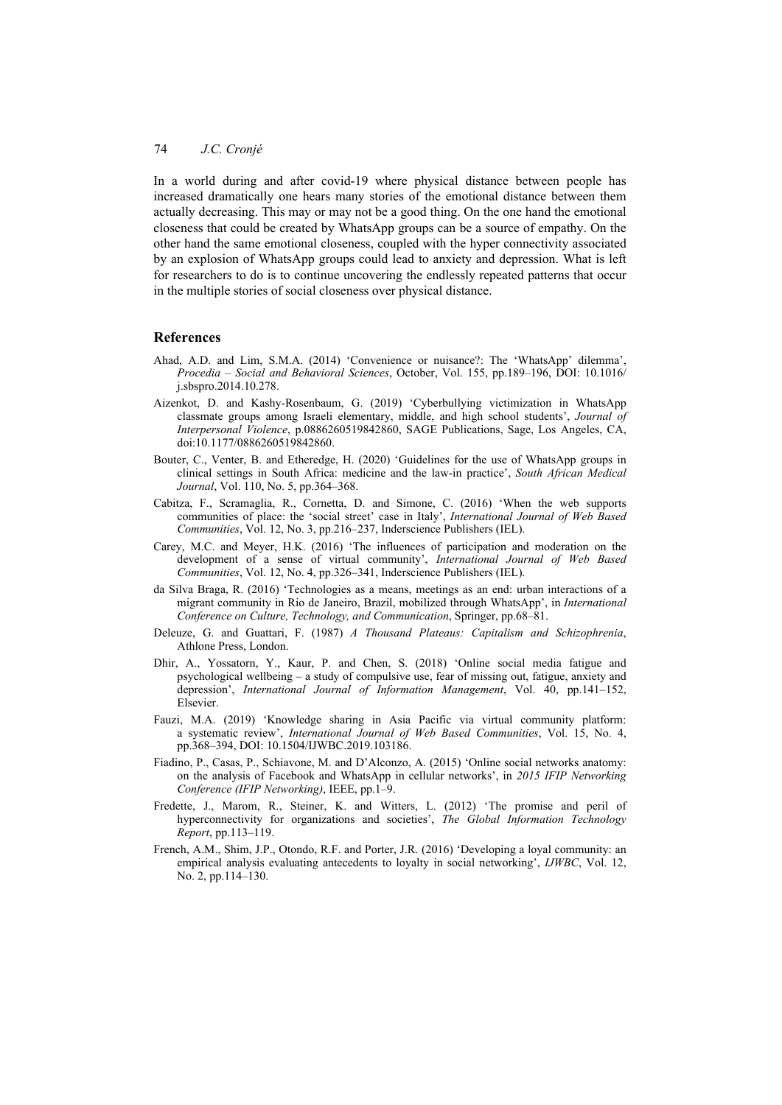In a world during and after covid-19 where physical distance between people has increased dramatically one hears many stories of the emotional distance between them actually decreasing. This may or may not be a good thing. On the one hand the emotional closeness that could be created by WhatsApp groups can be a source of empathy. On the other hand the same emotional closeness, coupled with the hyper connectivity associated by an explosion of WhatsApp groups could lead to anxiety and depression. What is left for researchers to do is to continue uncovering the endlessly repeated patterns that occur in the multiple stories of social closeness over physical distance.

#### **References**

- Ahad, A.D. and Lim, S.M.A. (2014) 'Convenience or nuisance?: The 'WhatsApp' dilemma', *Procedia – Social and Behavioral Sciences*, October, Vol. 155, pp.189–196, DOI: 10.1016/ j.sbspro.2014.10.278.
- Aizenkot, D. and Kashy-Rosenbaum, G. (2019) 'Cyberbullying victimization in WhatsApp classmate groups among Israeli elementary, middle, and high school students', *Journal of Interpersonal Violence*, p.0886260519842860, SAGE Publications, Sage, Los Angeles, CA, doi:10.1177/0886260519842860.
- Bouter, C., Venter, B. and Etheredge, H. (2020) 'Guidelines for the use of WhatsApp groups in clinical settings in South Africa: medicine and the law-in practice', *South African Medical Journal*, Vol. 110, No. 5, pp.364–368.
- Cabitza, F., Scramaglia, R., Cornetta, D. and Simone, C. (2016) 'When the web supports communities of place: the 'social street' case in Italy', *International Journal of Web Based Communities*, Vol. 12, No. 3, pp.216–237, Inderscience Publishers (IEL).
- Carey, M.C. and Meyer, H.K. (2016) 'The influences of participation and moderation on the development of a sense of virtual community', *International Journal of Web Based Communities*, Vol. 12, No. 4, pp.326–341, Inderscience Publishers (IEL).
- da Silva Braga, R. (2016) 'Technologies as a means, meetings as an end: urban interactions of a migrant community in Rio de Janeiro, Brazil, mobilized through WhatsApp', in *International Conference on Culture, Technology, and Communication*, Springer, pp.68–81.
- Deleuze, G. and Guattari, F. (1987) *A Thousand Plateaus: Capitalism and Schizophrenia*, Athlone Press, London.
- Dhir, A., Yossatorn, Y., Kaur, P. and Chen, S. (2018) 'Online social media fatigue and psychological wellbeing – a study of compulsive use, fear of missing out, fatigue, anxiety and depression', *International Journal of Information Management*, Vol. 40, pp.141–152, Elsevier.
- Fauzi, M.A. (2019) 'Knowledge sharing in Asia Pacific via virtual community platform: a systematic review', *International Journal of Web Based Communities*, Vol. 15, No. 4, pp.368–394, DOI: 10.1504/IJWBC.2019.103186.
- Fiadino, P., Casas, P., Schiavone, M. and D'Alconzo, A. (2015) 'Online social networks anatomy: on the analysis of Facebook and WhatsApp in cellular networks', in *2015 IFIP Networking Conference (IFIP Networking)*, IEEE, pp.1–9.
- Fredette, J., Marom, R., Steiner, K. and Witters, L. (2012) 'The promise and peril of hyperconnectivity for organizations and societies', *The Global Information Technology Report*, pp.113–119.
- French, A.M., Shim, J.P., Otondo, R.F. and Porter, J.R. (2016) 'Developing a loyal community: an empirical analysis evaluating antecedents to loyalty in social networking', *IJWBC*, Vol. 12, No. 2, pp.114–130.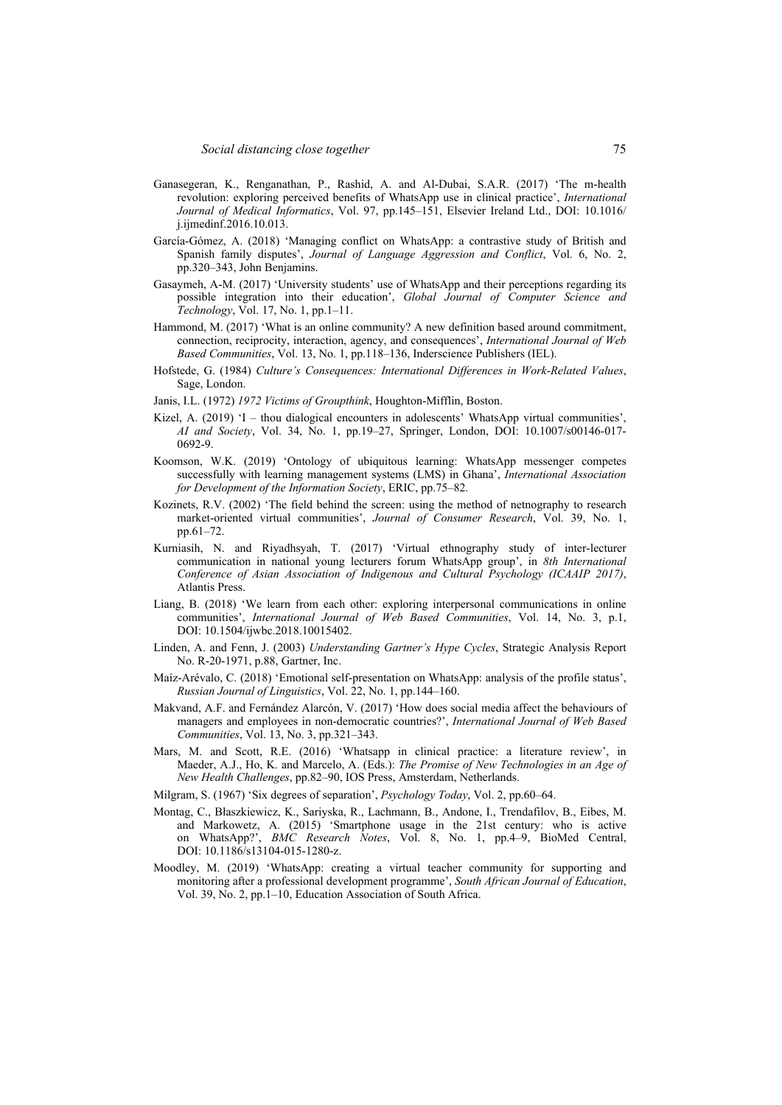- Ganasegeran, K., Renganathan, P., Rashid, A. and Al-Dubai, S.A.R. (2017) 'The m-health revolution: exploring perceived benefits of WhatsApp use in clinical practice', *International Journal of Medical Informatics*, Vol. 97, pp.145–151, Elsevier Ireland Ltd., DOI: 10.1016/ j.ijmedinf.2016.10.013.
- García-Gómez, A. (2018) 'Managing conflict on WhatsApp: a contrastive study of British and Spanish family disputes', *Journal of Language Aggression and Conflict*, Vol. 6, No. 2, pp.320–343, John Benjamins.
- Gasaymeh, A-M. (2017) 'University students' use of WhatsApp and their perceptions regarding its possible integration into their education', *Global Journal of Computer Science and Technology*, Vol. 17, No. 1, pp.1–11.
- Hammond, M. (2017) 'What is an online community? A new definition based around commitment, connection, reciprocity, interaction, agency, and consequences', *International Journal of Web Based Communities*, Vol. 13, No. 1, pp.118–136, Inderscience Publishers (IEL).
- Hofstede, G. (1984) *Culture's Consequences: International Differences in Work-Related Values*, Sage, London.
- Janis, I.L. (1972) *1972 Victims of Groupthink*, Houghton-Mifflin, Boston.
- Kizel, A. (2019) 'I thou dialogical encounters in adolescents' WhatsApp virtual communities', *AI and Society*, Vol. 34, No. 1, pp.19–27, Springer, London, DOI: 10.1007/s00146-017- 0692-9.
- Koomson, W.K. (2019) 'Ontology of ubiquitous learning: WhatsApp messenger competes successfully with learning management systems (LMS) in Ghana', *International Association for Development of the Information Society*, ERIC, pp.75–82.
- Kozinets, R.V. (2002) 'The field behind the screen: using the method of netnography to research market-oriented virtual communities', *Journal of Consumer Research*, Vol. 39, No. 1, pp.61–72.
- Kurniasih, N. and Riyadhsyah, T. (2017) 'Virtual ethnography study of inter-lecturer communication in national young lecturers forum WhatsApp group', in *8th International Conference of Asian Association of Indigenous and Cultural Psychology (ICAAIP 2017)*, Atlantis Press.
- Liang, B. (2018) 'We learn from each other: exploring interpersonal communications in online communities', *International Journal of Web Based Communities*, Vol. 14, No. 3, p.1, DOI: 10.1504/ijwbc.2018.10015402.
- Linden, A. and Fenn, J. (2003) *Understanding Gartner's Hype Cycles*, Strategic Analysis Report No. R-20-1971, p.88, Gartner, Inc.
- Maíz-Arévalo, C. (2018) 'Emotional self-presentation on WhatsApp: analysis of the profile status', *Russian Journal of Linguistics*, Vol. 22, No. 1, pp.144–160.
- Makvand, A.F. and Fernández Alarcón, V. (2017) 'How does social media affect the behaviours of managers and employees in non-democratic countries?', *International Journal of Web Based Communities*, Vol. 13, No. 3, pp.321–343.
- Mars, M. and Scott, R.E. (2016) 'Whatsapp in clinical practice: a literature review', in Maeder, A.J., Ho, K. and Marcelo, A. (Eds.): *The Promise of New Technologies in an Age of New Health Challenges*, pp.82–90, IOS Press, Amsterdam, Netherlands.
- Milgram, S. (1967) 'Six degrees of separation', *Psychology Today*, Vol. 2, pp.60–64.
- Montag, C., Błaszkiewicz, K., Sariyska, R., Lachmann, B., Andone, I., Trendafilov, B., Eibes, M. and Markowetz, A. (2015) 'Smartphone usage in the 21st century: who is active on WhatsApp?', *BMC Research Notes*, Vol. 8, No. 1, pp.4–9, BioMed Central, DOI: 10.1186/s13104-015-1280-z.
- Moodley, M. (2019) 'WhatsApp: creating a virtual teacher community for supporting and monitoring after a professional development programme', *South African Journal of Education*, Vol. 39, No. 2, pp.1–10, Education Association of South Africa.